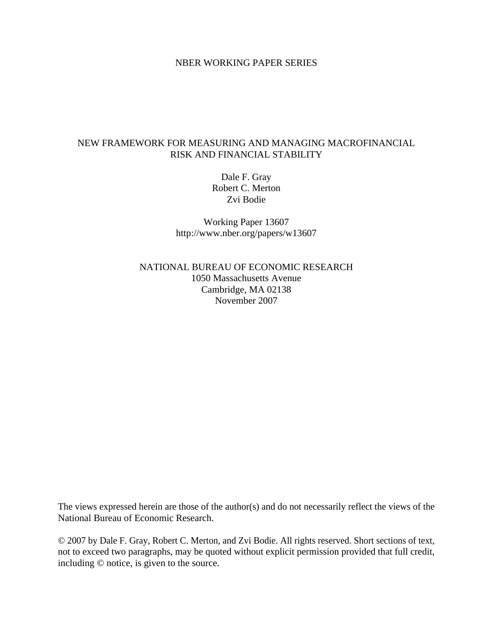#### NBER WORKING PAPER SERIES

#### NEW FRAMEWORK FOR MEASURING AND MANAGING MACROFINANCIAL RISK AND FINANCIAL STABILITY

Dale F. Gray Robert C. Merton Zvi Bodie

Working Paper 13607 http://www.nber.org/papers/w13607

NATIONAL BUREAU OF ECONOMIC RESEARCH 1050 Massachusetts Avenue Cambridge, MA 02138 November 2007

The views expressed herein are those of the author(s) and do not necessarily reflect the views of the National Bureau of Economic Research.

© 2007 by Dale F. Gray, Robert C. Merton, and Zvi Bodie. All rights reserved. Short sections of text, not to exceed two paragraphs, may be quoted without explicit permission provided that full credit, including © notice, is given to the source.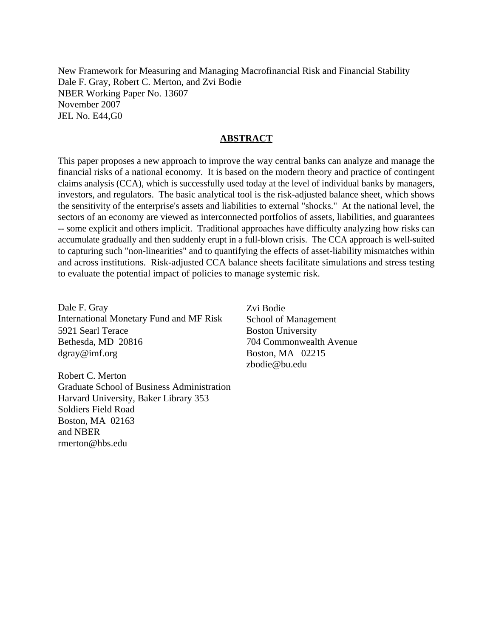New Framework for Measuring and Managing Macrofinancial Risk and Financial Stability Dale F. Gray, Robert C. Merton, and Zvi Bodie NBER Working Paper No. 13607 November 2007 JEL No. E44,G0

#### **ABSTRACT**

This paper proposes a new approach to improve the way central banks can analyze and manage the financial risks of a national economy. It is based on the modern theory and practice of contingent claims analysis (CCA), which is successfully used today at the level of individual banks by managers, investors, and regulators. The basic analytical tool is the risk-adjusted balance sheet, which shows the sensitivity of the enterprise's assets and liabilities to external "shocks." At the national level, the sectors of an economy are viewed as interconnected portfolios of assets, liabilities, and guarantees -- some explicit and others implicit. Traditional approaches have difficulty analyzing how risks can accumulate gradually and then suddenly erupt in a full-blown crisis. The CCA approach is well-suited to capturing such "non-linearities" and to quantifying the effects of asset-liability mismatches within and across institutions. Risk-adjusted CCA balance sheets facilitate simulations and stress testing to evaluate the potential impact of policies to manage systemic risk.

Dale F. Gray International Monetary Fund and MF Risk 5921 Searl Terace Bethesda, MD 20816 dgray@imf.org

Robert C. Merton Graduate School of Business Administration Harvard University, Baker Library 353 Soldiers Field Road Boston, MA 02163 and NBER rmerton@hbs.edu

Zvi Bodie School of Management Boston University 704 Commonwealth Avenue Boston, MA 02215 zbodie@bu.edu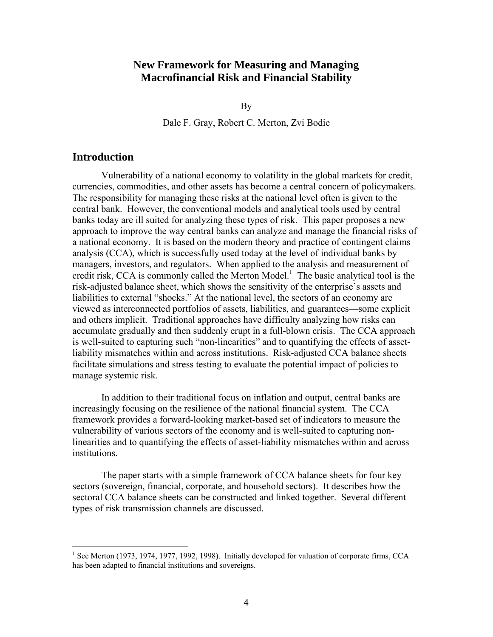# **New Framework for Measuring and Managing Macrofinancial Risk and Financial Stability**

By

Dale F. Gray, Robert C. Merton, Zvi Bodie

## **Introduction**

 $\overline{a}$ 

 Vulnerability of a national economy to volatility in the global markets for credit, currencies, commodities, and other assets has become a central concern of policymakers. The responsibility for managing these risks at the national level often is given to the central bank. However, the conventional models and analytical tools used by central banks today are ill suited for analyzing these types of risk. This paper proposes a new approach to improve the way central banks can analyze and manage the financial risks of a national economy. It is based on the modern theory and practice of contingent claims analysis (CCA), which is successfully used today at the level of individual banks by managers, investors, and regulators. When applied to the analysis and measurement of credit risk, CCA is commonly called the Merton Model.<sup>1</sup> The basic analytical tool is the risk-adjusted balance sheet, which shows the sensitivity of the enterprise's assets and liabilities to external "shocks." At the national level, the sectors of an economy are viewed as interconnected portfolios of assets, liabilities, and guarantees—some explicit and others implicit. Traditional approaches have difficulty analyzing how risks can accumulate gradually and then suddenly erupt in a full-blown crisis. The CCA approach is well-suited to capturing such "non-linearities" and to quantifying the effects of assetliability mismatches within and across institutions. Risk-adjusted CCA balance sheets facilitate simulations and stress testing to evaluate the potential impact of policies to manage systemic risk.

 In addition to their traditional focus on inflation and output, central banks are increasingly focusing on the resilience of the national financial system. The CCA framework provides a forward-looking market-based set of indicators to measure the vulnerability of various sectors of the economy and is well-suited to capturing nonlinearities and to quantifying the effects of asset-liability mismatches within and across institutions.

 The paper starts with a simple framework of CCA balance sheets for four key sectors (sovereign, financial, corporate, and household sectors). It describes how the sectoral CCA balance sheets can be constructed and linked together. Several different types of risk transmission channels are discussed.

<sup>&</sup>lt;sup>1</sup> See Merton (1973, 1974, 1977, 1992, 1998). Initially developed for valuation of corporate firms, CCA has been adapted to financial institutions and sovereigns.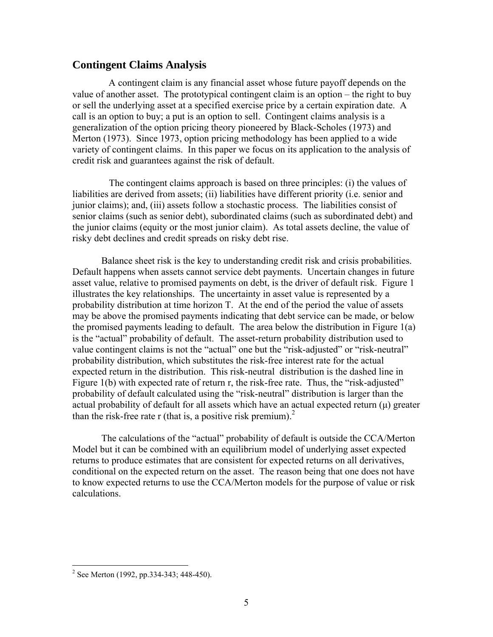## **Contingent Claims Analysis**

A contingent claim is any financial asset whose future payoff depends on the value of another asset. The prototypical contingent claim is an option – the right to buy or sell the underlying asset at a specified exercise price by a certain expiration date. A call is an option to buy; a put is an option to sell. Contingent claims analysis is a generalization of the option pricing theory pioneered by Black-Scholes (1973) and Merton (1973). Since 1973, option pricing methodology has been applied to a wide variety of contingent claims. In this paper we focus on its application to the analysis of credit risk and guarantees against the risk of default.

The contingent claims approach is based on three principles: (i) the values of liabilities are derived from assets; (ii) liabilities have different priority (i.e. senior and junior claims); and, (iii) assets follow a stochastic process. The liabilities consist of senior claims (such as senior debt), subordinated claims (such as subordinated debt) and the junior claims (equity or the most junior claim). As total assets decline, the value of risky debt declines and credit spreads on risky debt rise.

 Balance sheet risk is the key to understanding credit risk and crisis probabilities. Default happens when assets cannot service debt payments. Uncertain changes in future asset value, relative to promised payments on debt, is the driver of default risk. Figure 1 illustrates the key relationships. The uncertainty in asset value is represented by a probability distribution at time horizon T. At the end of the period the value of assets may be above the promised payments indicating that debt service can be made, or below the promised payments leading to default. The area below the distribution in Figure 1(a) is the "actual" probability of default. The asset-return probability distribution used to value contingent claims is not the "actual" one but the "risk-adjusted" or "risk-neutral" probability distribution, which substitutes the risk-free interest rate for the actual expected return in the distribution. This risk-neutral distribution is the dashed line in Figure 1(b) with expected rate of return r, the risk-free rate. Thus, the "risk-adjusted" probability of default calculated using the "risk-neutral" distribution is larger than the actual probability of default for all assets which have an actual expected return  $(u)$  greater than the risk-free rate r (that is, a positive risk premium). $^{2}$ 

The calculations of the "actual" probability of default is outside the CCA/Merton Model but it can be combined with an equilibrium model of underlying asset expected returns to produce estimates that are consistent for expected returns on all derivatives, conditional on the expected return on the asset. The reason being that one does not have to know expected returns to use the CCA/Merton models for the purpose of value or risk calculations.

<sup>&</sup>lt;sup>2</sup> See Merton (1992, pp.334-343; 448-450).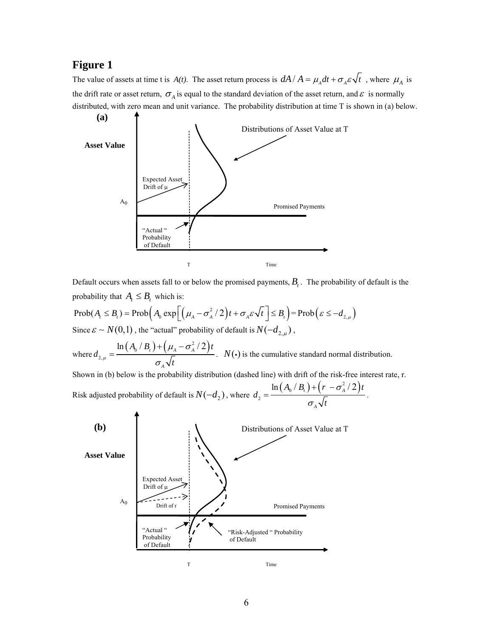# **Figure 1**

The value of assets at time t is  $A(t)$ . The asset return process is  $dA/A = \mu_A dt + \sigma_A \epsilon \sqrt{t}$ , where  $\mu_A$  is the drift rate or asset return,  $\sigma_A$  is equal to the standard deviation of the asset return, and  $\varepsilon$  is normally distributed, with zero mean and unit variance. The probability distribution at time T is shown in (a) below.



Default occurs when assets fall to or below the promised payments,  $B_t$ . The probability of default is the probability that  $A_t \leq B_t$  which is:

$$
\text{Prob}(A_t \le B_t) = \text{Prob}\Big(A_0 \exp\Big[\Big(\mu_A - \sigma_A^2/2\Big)t + \sigma_A \varepsilon \sqrt{t}\Big] \le B_t\Big) = \text{Prob}\Big(\varepsilon \le -d_{2,\mu}\Big)
$$
\n
$$
\text{Since } \varepsilon \sim N(0,1) \text{, the "actual" probability of default is } N(-d_{2,\mu}) \text{,}
$$

where  $d_{\gamma} = \frac{\ln (A_0 / B_t) + (\mu_A - \sigma_A^2 / 2)}{\sigma}$ 2,  $\ln (A_0 / B_t) + (\mu_A - \sigma_A^2 / 2$ *A*  $A_0/B_1$  +  $(\mu_{A} - \sigma_{A}^2/2)t$ *d*  $\sigma_{A} \sqrt{t}$  $\mu_{_A}-\sigma$ σ  $=\frac{\ln (A_0/B_t)+(\mu_A-\sigma_A^2/2)t}{\sqrt{2\pi}}$ . *N*(•) is the cumulative standard normal distribution. Shown in (b) below is the probability distribution (dashed line) with drift of the risk-free interest rate, r.

Risk adjusted probability of default is  $N(-d_2)$ , where  $d_2 = \frac{\ln (A_0/B_r) + (r - \sigma_A^2/2)}{\sqrt{2}}$ 0 2  $\ln (A_0 / B_t) + (r - \sigma_A^2 / 2)$ *A*  $A_0/B_1$  +  $(r - \sigma_4^2/2)t$ *d t* σ σ  $=\frac{\ln (A_0/B_t)+(r-\sigma_A^2/2)t}{\sqrt{r}}$ .

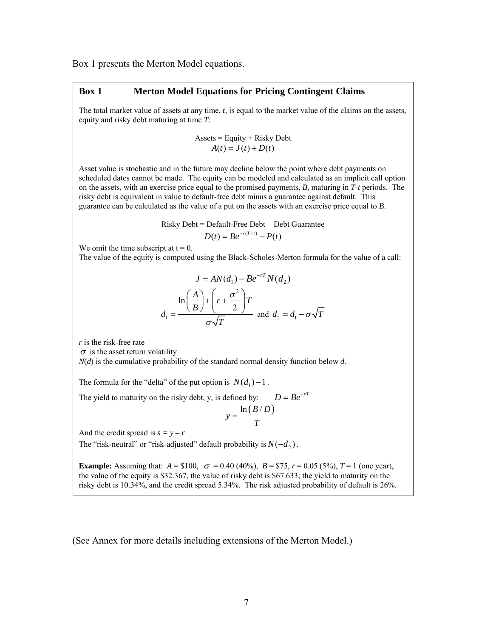Box 1 presents the Merton Model equations.

#### **Box 1 Merton Model Equations for Pricing Contingent Claims**

The total market value of assets at any time, *t*, is equal to the market value of the claims on the assets, equity and risky debt maturing at time *T*:

> $\text{Assets} = \text{Equity} + \text{Risky}$  $A(t) = J(t) + D(t)$

Asset value is stochastic and in the future may decline below the point where debt payments on scheduled dates cannot be made. The equity can be modeled and calculated as an implicit call option on the assets, with an exercise price equal to the promised payments, *B*, maturing in *T-t* periods. The risky debt is equivalent in value to default-free debt minus a guarantee against default. This guarantee can be calculated as the value of a put on the assets with an exercise price equal to *B*.

Risky Debt = Default-Free Debt − Debt Guarantee

 $D(t) = Be^{-r(T-t)} - P(t)$ 

We omit the time subscript at  $t = 0$ .

The value of the equity is computed using the Black-Scholes-Merton formula for the value of a call:

$$
J = AN(d_1) - Be^{-rT}N(d_2)
$$

$$
d_1 = \frac{\ln\left(\frac{A}{B}\right) + \left(r + \frac{\sigma^2}{2}\right)T}{\sigma\sqrt{T}} \text{ and } d_2 = d_1 - \sigma\sqrt{T}
$$

*r* is the risk-free rate

 $\sigma$  is the asset return volatility

*N*(*d*) is the cumulative probability of the standard normal density function below *d.*

The formula for the "delta" of the put option is  $N(d_1)-1$ .

The yield to maturity on the risky debt, y, is defined by:  $D = Be^{-yT}$ 

$$
y = \frac{\ln (B/D)}{T}
$$

And the credit spread is  $s = y - r$ 

The "risk-neutral" or "risk-adjusted" default probability is  $N(-d_2)$ .

**Example:** Assuming that:  $A = $100$ ,  $\sigma = 0.40$  (40%),  $B = $75$ ,  $r = 0.05$  (5%),  $T = 1$  (one year), the value of the equity is \$32.367, the value of risky debt is \$67.633; the yield to maturity on the risky debt is 10.34%, and the credit spread 5.34%. The risk adjusted probability of default is 26%.

(See Annex for more details including extensions of the Merton Model.)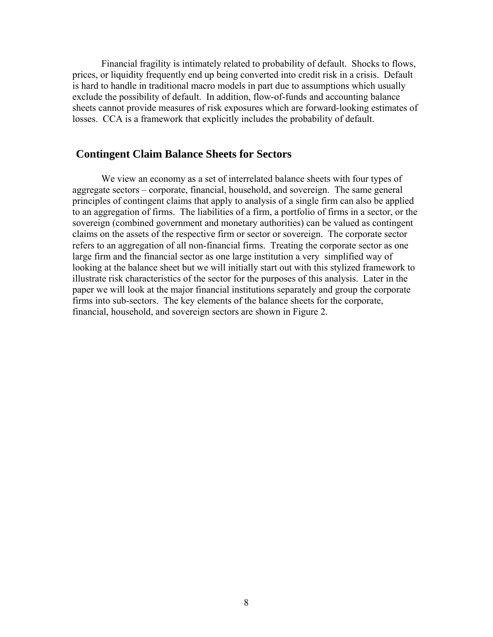Financial fragility is intimately related to probability of default. Shocks to flows, prices, or liquidity frequently end up being converted into credit risk in a crisis. Default is hard to handle in traditional macro models in part due to assumptions which usually exclude the possibility of default. In addition, flow-of-funds and accounting balance sheets cannot provide measures of risk exposures which are forward-looking estimates of losses. CCA is a framework that explicitly includes the probability of default.

#### **Contingent Claim Balance Sheets for Sectors**

 We view an economy as a set of interrelated balance sheets with four types of aggregate sectors – corporate, financial, household, and sovereign. The same general principles of contingent claims that apply to analysis of a single firm can also be applied to an aggregation of firms. The liabilities of a firm, a portfolio of firms in a sector, or the sovereign (combined government and monetary authorities) can be valued as contingent claims on the assets of the respective firm or sector or sovereign. The corporate sector refers to an aggregation of all non-financial firms. Treating the corporate sector as one large firm and the financial sector as one large institution a very simplified way of looking at the balance sheet but we will initially start out with this stylized framework to illustrate risk characteristics of the sector for the purposes of this analysis. Later in the paper we will look at the major financial institutions separately and group the corporate firms into sub-sectors. The key elements of the balance sheets for the corporate, financial, household, and sovereign sectors are shown in Figure 2.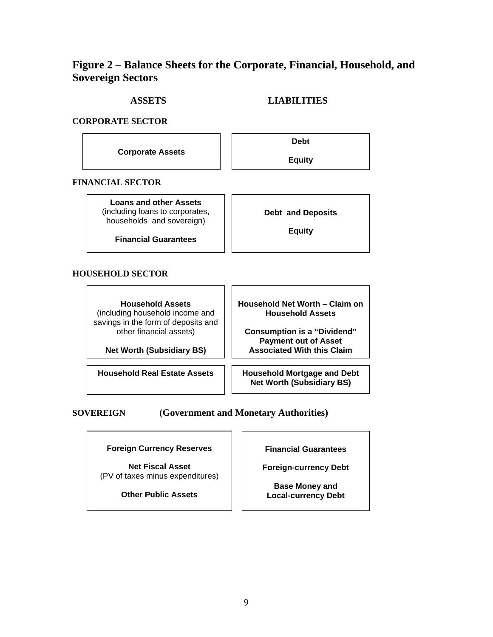# **Figure 2 – Balance Sheets for the Corporate, Financial, Household, and Sovereign Sectors**

# **ASSETS LIABILITIES CORPORATE SECTOR Corporate Assets**

**Debt Equity**

## **FINANCIAL SECTOR**

**Loans and other Assets**  (including loans to corporates, households and sovereign)

**Financial Guarantees** 

**Debt and Deposits** 

**Equity**

## **HOUSEHOLD SECTOR**

**Household Assets**  (including household income and savings in the form of deposits and other financial assets)

**Net Worth (Subsidiary BS)** 

**Household Net Worth – Claim on Household Assets** 

**Consumption is a "Dividend" Payment out of Asset Associated With this Claim** 

Household Real Estate Assets | | Household Mortgage and Debt **Net Worth (Subsidiary BS)** 

**SOVEREIGN (Government and Monetary Authorities)**

**Foreign Currency Reserves** 

**Net Fiscal Asset**  (PV of taxes minus expenditures)

**Other Public Assets**

**Financial Guarantees** 

**Foreign-currency Debt** 

**Base Money and Local-currency Debt**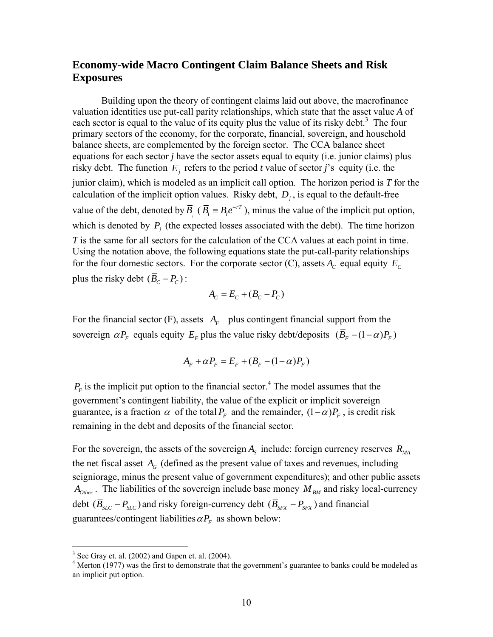# **Economy-wide Macro Contingent Claim Balance Sheets and Risk Exposures**

 Building upon the theory of contingent claims laid out above, the macrofinance valuation identities use put-call parity relationships, which state that the asset value *A* of each sector is equal to the value of its equity plus the value of its risky debt.<sup>3</sup> The four primary sectors of the economy, for the corporate, financial, sovereign, and household balance sheets, are complemented by the foreign sector. The CCA balance sheet equations for each sector *j* have the sector assets equal to equity (i.e. junior claims) plus risky debt. The function  $E_i$  refers to the period *t* value of sector *j*'s equity (i.e. the junior claim), which is modeled as an implicit call option. The horizon period is *T* for the calculation of the implicit option values. Risky debt,  $D_i$ , is equal to the default-free value of the debt, denoted by  $\overline{B}_i$  ( $\overline{B}_i = B_i e^{-rT}$ ), minus the value of the implicit put option, which is denoted by  $P_j$  (the expected losses associated with the debt). The time horizon *T* is the same for all sectors for the calculation of the CCA values at each point in time. Using the notation above, the following equations state the put-call-parity relationships for the four domestic sectors. For the corporate sector (C), assets  $A_C$  equal equity  $E_C$ plus the risky debt  $(\overline{B}_C - P_C)$ :

$$
A_C = E_C + (\overline{B}_C - P_C)
$$

For the financial sector  $(F)$ , assets  $A_F$  plus contingent financial support from the sovereign  $\alpha P_F$  equals equity  $E_F$  plus the value risky debt/deposits  $(\overline{B}_F - (1 - \alpha)P_F)$ 

$$
A_F + \alpha P_F = E_F + (\overline{B}_F - (1 - \alpha)P_F)
$$

 $P_F$  is the implicit put option to the financial sector.<sup>4</sup> The model assumes that the government's contingent liability, the value of the explicit or implicit sovereign guarantee, is a fraction  $\alpha$  of the total  $P_F$  and the remainder,  $(1 - \alpha)P_F$ , is credit risk remaining in the debt and deposits of the financial sector.

For the sovereign, the assets of the sovereign  $A<sub>S</sub>$  include: foreign currency reserves  $R<sub>MA</sub>$ the net fiscal asset  $A_G$  (defined as the present value of taxes and revenues, including seigniorage, minus the present value of government expenditures); and other public assets  $A_{Other}$ . The liabilities of the sovereign include base money  $M_{BM}$  and risky local-currency debt  $(\overline{B}_{SLC} - P_{SLC})$  and risky foreign-currency debt  $(\overline{B}_{SFX} - P_{SFX})$  and financial guarantees/contingent liabilities  $\alpha P_F$  as shown below:

 $\frac{3}{3}$  See Gray et. al. (2002) and Gapen et. al. (2004).

<sup>&</sup>lt;sup>4</sup> Merton (1977) was the first to demonstrate that the government's guarantee to banks could be modeled as an implicit put option.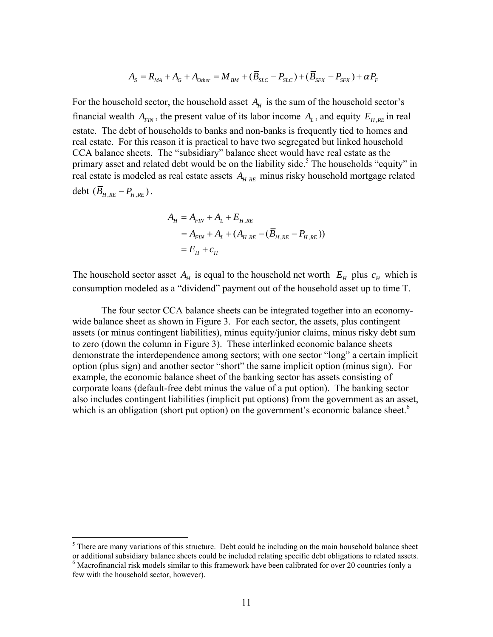$$
A_{S} = R_{MA} + A_{G} + A_{Other} = M_{BM} + (\overline{B}_{SLC} - P_{SLC}) + (\overline{B}_{SFX} - P_{SFX}) + \alpha P_{F}
$$

For the household sector, the household asset  $A<sub>H</sub>$  is the sum of the household sector's financial wealth  $A_{FN}$ , the present value of its labor income  $A_L$ , and equity  $E_{H_{RF}}$  in real estate. The debt of households to banks and non-banks is frequently tied to homes and real estate. For this reason it is practical to have two segregated but linked household CCA balance sheets. The "subsidiary" balance sheet would have real estate as the primary asset and related debt would be on the liability side.<sup>5</sup> The households "equity" in real estate is modeled as real estate assets  $A_{H,RF}$  minus risky household mortgage related debt  $(\overline{B}_{H \, RE} - P_{H \, RE})$ .

$$
A_H = A_{FIN} + A_L + E_{H,RE}
$$
  
=  $A_{FIN} + A_L + (A_{H,RE} - (\overline{B}_{H,RE} - P_{H,RE}))$   
=  $E_H + c_H$ 

The household sector asset  $A_H$  is equal to the household net worth  $E_H$  plus  $c_H$  which is consumption modeled as a "dividend" payment out of the household asset up to time T.

 The four sector CCA balance sheets can be integrated together into an economywide balance sheet as shown in Figure 3. For each sector, the assets, plus contingent assets (or minus contingent liabilities), minus equity/junior claims, minus risky debt sum to zero (down the column in Figure 3). These interlinked economic balance sheets demonstrate the interdependence among sectors; with one sector "long" a certain implicit option (plus sign) and another sector "short" the same implicit option (minus sign). For example, the economic balance sheet of the banking sector has assets consisting of corporate loans (default-free debt minus the value of a put option). The banking sector also includes contingent liabilities (implicit put options) from the government as an asset, which is an obligation (short put option) on the government's economic balance sheet.<sup>6</sup>

<sup>&</sup>lt;sup>5</sup> There are many variations of this structure. Debt could be including on the main household balance sheet or additional subsidiary balance sheets could be included relating specific debt obligations to related assets. 6 <sup>6</sup> Macrofinancial risk models similar to this framework have been calibrated for over 20 countries (only a few with the household sector, however).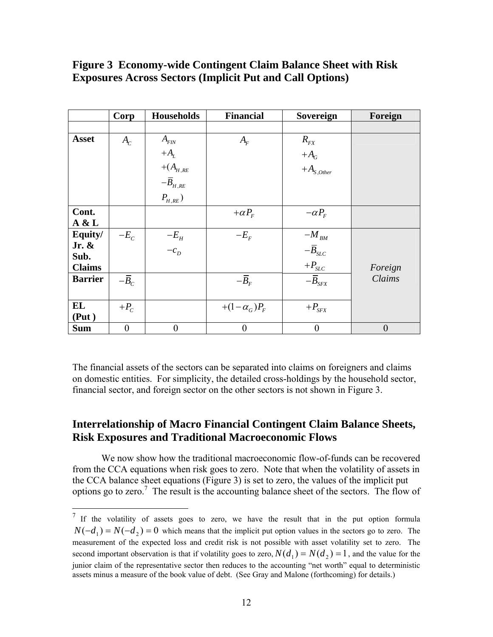|  |  | <b>Figure 3 Economy-wide Contingent Claim Balance Sheet with Risk</b> |  |
|--|--|-----------------------------------------------------------------------|--|
|  |  | <b>Exposures Across Sectors (Implicit Put and Call Options)</b>       |  |

|                | Corp              | <b>Households</b>      | <b>Financial</b>   | Sovereign                        | Foreign  |
|----------------|-------------------|------------------------|--------------------|----------------------------------|----------|
|                |                   |                        |                    |                                  |          |
| <b>Asset</b>   | $A_C$             | $A$ <sub>FIN</sub>     | $A_F$              | $R_{FX}$                         |          |
|                |                   | $+A_L$                 |                    | $+A_{\!\scriptscriptstyle G}$    |          |
|                |                   | $+(AH,RE)$             |                    | $+A_{s,Other}$                   |          |
|                |                   | $-\overline{B}_{H,RE}$ |                    |                                  |          |
|                |                   | $P_{H,RE}$ )           |                    |                                  |          |
| Cont.          |                   |                        | $+\alpha P_{F}$    | $-\alpha P_{F}$                  |          |
| A & L          |                   |                        |                    |                                  |          |
| Equity/        | $-E_C$            |                        | $-E_F$             | $-M_{_{BM}}$                     |          |
| Jr. &          |                   | $-E_{H}$<br>$-c_{D}$   |                    | $-\overline{B}_{SLC}$            |          |
| Sub.           |                   |                        |                    |                                  |          |
| <b>Claims</b>  |                   |                        |                    | $+P_{SLC}$                       | Foreign  |
| <b>Barrier</b> | $-\overline{B}_C$ |                        | $-\overline{B}_F$  | $-\overline{B}_{SFX}$            | Claims   |
|                |                   |                        |                    |                                  |          |
| EL             | $+P_{C}$          |                        | $+(1-\alpha_G)P_F$ | $+P_{\rm\scriptscriptstyle SFX}$ |          |
| (Put)          |                   |                        |                    |                                  |          |
| <b>Sum</b>     | $\boldsymbol{0}$  | $\boldsymbol{0}$       | $\boldsymbol{0}$   | $\boldsymbol{0}$                 | $\theta$ |

The financial assets of the sectors can be separated into claims on foreigners and claims on domestic entities. For simplicity, the detailed cross-holdings by the household sector, financial sector, and foreign sector on the other sectors is not shown in Figure 3.

# **Interrelationship of Macro Financial Contingent Claim Balance Sheets, Risk Exposures and Traditional Macroeconomic Flows**

 We now show how the traditional macroeconomic flow-of-funds can be recovered from the CCA equations when risk goes to zero. Note that when the volatility of assets in the CCA balance sheet equations (Figure 3) is set to zero, the values of the implicit put options go to zero.<sup>7</sup> The result is the accounting balance sheet of the sectors. The flow of

1

 $<sup>7</sup>$  If the volatility of assets goes to zero, we have the result that in the put option formula</sup>  $N(-d_1) = N(-d_2) = 0$  which means that the implicit put option values in the sectors go to zero. The measurement of the expected loss and credit risk is not possible with asset volatility set to zero. The second important observation is that if volatility goes to zero,  $N(d_1) = N(d_2) = 1$ , and the value for the junior claim of the representative sector then reduces to the accounting "net worth" equal to deterministic assets minus a measure of the book value of debt. (See Gray and Malone (forthcoming) for details.)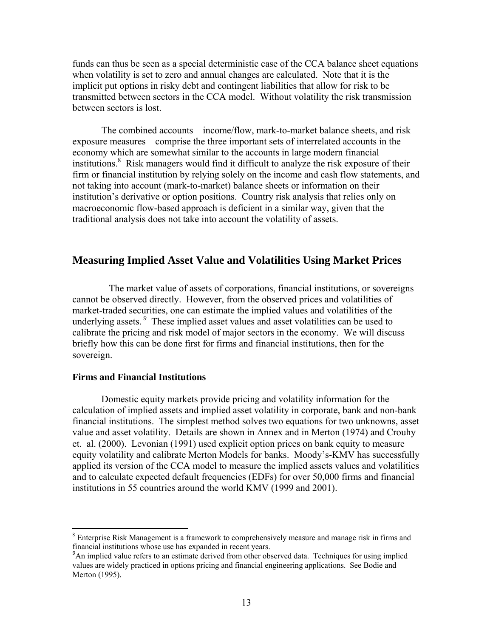funds can thus be seen as a special deterministic case of the CCA balance sheet equations when volatility is set to zero and annual changes are calculated. Note that it is the implicit put options in risky debt and contingent liabilities that allow for risk to be transmitted between sectors in the CCA model. Without volatility the risk transmission between sectors is lost.

 The combined accounts – income/flow, mark-to-market balance sheets, and risk exposure measures – comprise the three important sets of interrelated accounts in the economy which are somewhat similar to the accounts in large modern financial institutions.<sup>8</sup> Risk managers would find it difficult to analyze the risk exposure of their firm or financial institution by relying solely on the income and cash flow statements, and not taking into account (mark-to-market) balance sheets or information on their institution's derivative or option positions. Country risk analysis that relies only on macroeconomic flow-based approach is deficient in a similar way, given that the traditional analysis does not take into account the volatility of assets.

## **Measuring Implied Asset Value and Volatilities Using Market Prices**

The market value of assets of corporations, financial institutions, or sovereigns cannot be observed directly. However, from the observed prices and volatilities of market-traded securities, one can estimate the implied values and volatilities of the underlying assets. *<sup>9</sup>* These implied asset values and asset volatilities can be used to calibrate the pricing and risk model of major sectors in the economy. We will discuss briefly how this can be done first for firms and financial institutions, then for the sovereign.

#### **Firms and Financial Institutions**

1

 Domestic equity markets provide pricing and volatility information for the calculation of implied assets and implied asset volatility in corporate, bank and non-bank financial institutions. The simplest method solves two equations for two unknowns, asset value and asset volatility. Details are shown in Annex and in Merton (1974) and Crouhy et. al. (2000). Levonian (1991) used explicit option prices on bank equity to measure equity volatility and calibrate Merton Models for banks. Moody's-KMV has successfully applied its version of the CCA model to measure the implied assets values and volatilities and to calculate expected default frequencies (EDFs) for over 50,000 firms and financial institutions in 55 countries around the world KMV (1999 and 2001).

<sup>&</sup>lt;sup>8</sup> Enterprise Risk Management is a framework to comprehensively measure and manage risk in firms and financial institutions whose use has expanded in recent years.

<sup>&</sup>lt;sup>9</sup>An implied value refers to an estimate derived from other observed data. Techniques for using implied values are widely practiced in options pricing and financial engineering applications. See Bodie and Merton (1995).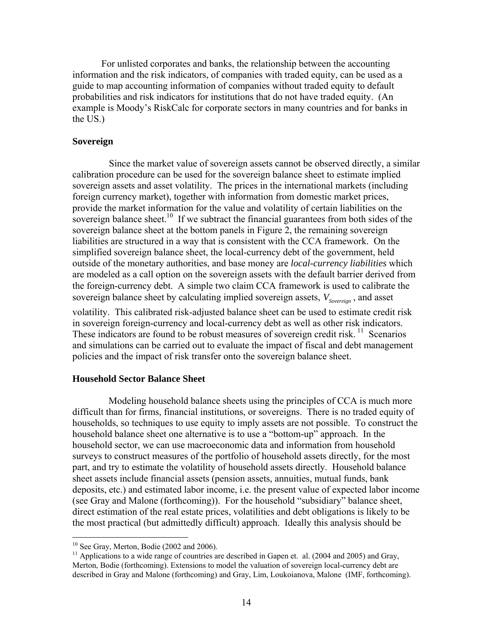For unlisted corporates and banks, the relationship between the accounting information and the risk indicators, of companies with traded equity, can be used as a guide to map accounting information of companies without traded equity to default probabilities and risk indicators for institutions that do not have traded equity. (An example is Moody's RiskCalc for corporate sectors in many countries and for banks in the US.)

#### **Sovereign**

Since the market value of sovereign assets cannot be observed directly, a similar calibration procedure can be used for the sovereign balance sheet to estimate implied sovereign assets and asset volatility. The prices in the international markets (including foreign currency market), together with information from domestic market prices, provide the market information for the value and volatility of certain liabilities on the sovereign balance sheet.<sup>10</sup> If we subtract the financial guarantees from both sides of the sovereign balance sheet at the bottom panels in Figure 2, the remaining sovereign liabilities are structured in a way that is consistent with the CCA framework. On the simplified sovereign balance sheet, the local-currency debt of the government, held outside of the monetary authorities, and base money are *local-currency liabilities* which are modeled as a call option on the sovereign assets with the default barrier derived from the foreign-currency debt. A simple two claim CCA framework is used to calibrate the sovereign balance sheet by calculating implied sovereign assets,  $V_{Sovere}$ , and asset volatility. This calibrated risk-adjusted balance sheet can be used to estimate credit risk in sovereign foreign-currency and local-currency debt as well as other risk indicators. These indicators are found to be robust measures of sovereign credit risk.<sup>11</sup> Scenarios and simulations can be carried out to evaluate the impact of fiscal and debt management policies and the impact of risk transfer onto the sovereign balance sheet.

#### **Household Sector Balance Sheet**

Modeling household balance sheets using the principles of CCA is much more difficult than for firms, financial institutions, or sovereigns. There is no traded equity of households, so techniques to use equity to imply assets are not possible. To construct the household balance sheet one alternative is to use a "bottom-up" approach. In the household sector, we can use macroeconomic data and information from household surveys to construct measures of the portfolio of household assets directly, for the most part, and try to estimate the volatility of household assets directly. Household balance sheet assets include financial assets (pension assets, annuities, mutual funds, bank deposits, etc.) and estimated labor income, i.e. the present value of expected labor income (see Gray and Malone (forthcoming)). For the household "subsidiary" balance sheet, direct estimation of the real estate prices, volatilities and debt obligations is likely to be the most practical (but admittedly difficult) approach. Ideally this analysis should be

 $10$  See Gray, Merton, Bodie (2002 and 2006).

 $11$  Applications to a wide range of countries are described in Gapen et. al. (2004 and 2005) and Gray, Merton, Bodie (forthcoming). Extensions to model the valuation of sovereign local-currency debt are described in Gray and Malone (forthcoming) and Gray, Lim, Loukoianova, Malone (IMF, forthcoming).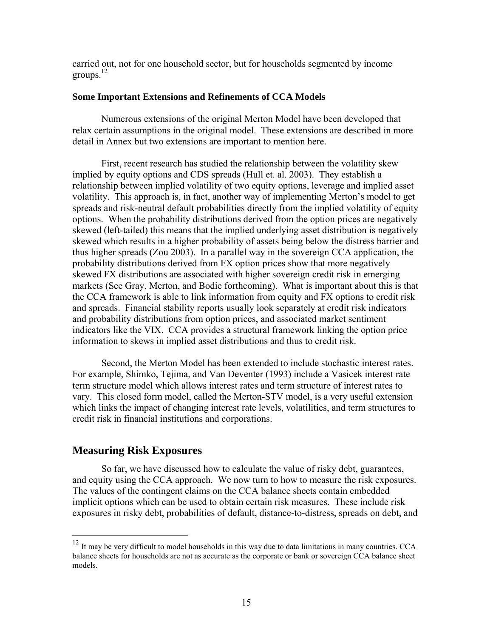carried out, not for one household sector, but for households segmented by income groups. $^{12}$ 

#### **Some Important Extensions and Refinements of CCA Models**

 Numerous extensions of the original Merton Model have been developed that relax certain assumptions in the original model. These extensions are described in more detail in Annex but two extensions are important to mention here.

 First, recent research has studied the relationship between the volatility skew implied by equity options and CDS spreads (Hull et. al. 2003). They establish a relationship between implied volatility of two equity options, leverage and implied asset volatility. This approach is, in fact, another way of implementing Merton's model to get spreads and risk-neutral default probabilities directly from the implied volatility of equity options. When the probability distributions derived from the option prices are negatively skewed (left-tailed) this means that the implied underlying asset distribution is negatively skewed which results in a higher probability of assets being below the distress barrier and thus higher spreads (Zou 2003). In a parallel way in the sovereign CCA application, the probability distributions derived from FX option prices show that more negatively skewed FX distributions are associated with higher sovereign credit risk in emerging markets (See Gray, Merton, and Bodie forthcoming). What is important about this is that the CCA framework is able to link information from equity and FX options to credit risk and spreads. Financial stability reports usually look separately at credit risk indicators and probability distributions from option prices, and associated market sentiment indicators like the VIX. CCA provides a structural framework linking the option price information to skews in implied asset distributions and thus to credit risk.

 Second, the Merton Model has been extended to include stochastic interest rates. For example, Shimko, Tejima, and Van Deventer (1993) include a Vasicek interest rate term structure model which allows interest rates and term structure of interest rates to vary. This closed form model, called the Merton-STV model, is a very useful extension which links the impact of changing interest rate levels, volatilities, and term structures to credit risk in financial institutions and corporations.

#### **Measuring Risk Exposures**

 So far, we have discussed how to calculate the value of risky debt, guarantees, and equity using the CCA approach. We now turn to how to measure the risk exposures. The values of the contingent claims on the CCA balance sheets contain embedded implicit options which can be used to obtain certain risk measures. These include risk exposures in risky debt, probabilities of default, distance-to-distress, spreads on debt, and

<sup>&</sup>lt;sup>12</sup> It may be very difficult to model households in this way due to data limitations in many countries. CCA balance sheets for households are not as accurate as the corporate or bank or sovereign CCA balance sheet models.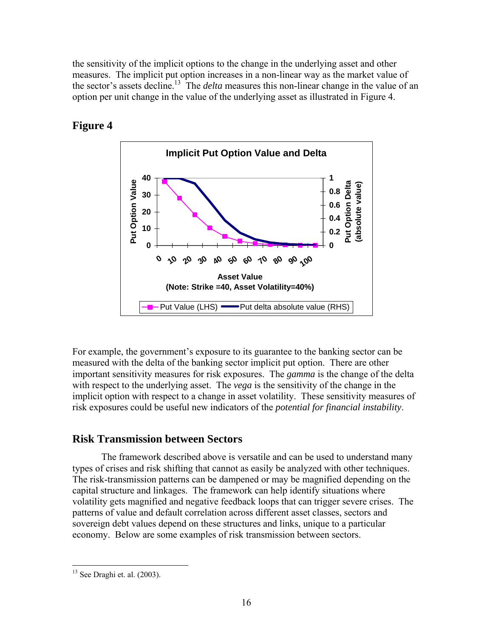the sensitivity of the implicit options to the change in the underlying asset and other measures. The implicit put option increases in a non-linear way as the market value of the sector's assets decline.13 The *delta* measures this non-linear change in the value of an option per unit change in the value of the underlying asset as illustrated in Figure 4.



# **Figure 4**

For example, the government's exposure to its guarantee to the banking sector can be measured with the delta of the banking sector implicit put option. There are other important sensitivity measures for risk exposures. The *gamma* is the change of the delta with respect to the underlying asset. The *vega* is the sensitivity of the change in the implicit option with respect to a change in asset volatility. These sensitivity measures of risk exposures could be useful new indicators of the *potential for financial instability*.

## **Risk Transmission between Sectors**

 The framework described above is versatile and can be used to understand many types of crises and risk shifting that cannot as easily be analyzed with other techniques. The risk-transmission patterns can be dampened or may be magnified depending on the capital structure and linkages. The framework can help identify situations where volatility gets magnified and negative feedback loops that can trigger severe crises. The patterns of value and default correlation across different asset classes, sectors and sovereign debt values depend on these structures and links, unique to a particular economy. Below are some examples of risk transmission between sectors.

 $\overline{a}$ 

 $13$  See Draghi et. al. (2003).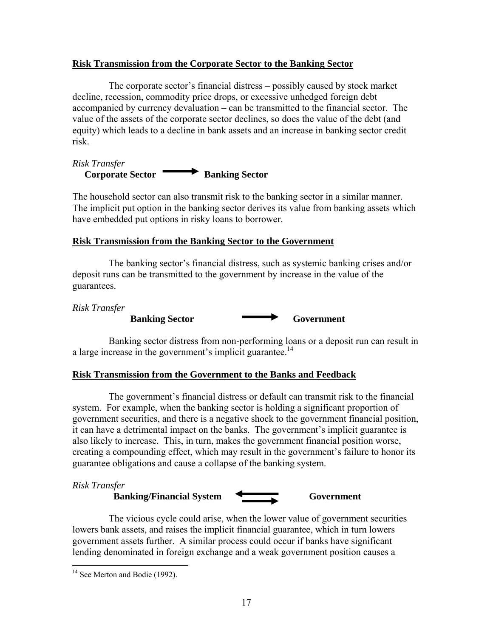#### **Risk Transmission from the Corporate Sector to the Banking Sector**

The corporate sector's financial distress – possibly caused by stock market decline, recession, commodity price drops, or excessive unhedged foreign debt accompanied by currency devaluation – can be transmitted to the financial sector. The value of the assets of the corporate sector declines, so does the value of the debt (and equity) which leads to a decline in bank assets and an increase in banking sector credit risk.

*Risk Transfer*  **Corporate Sector Banking Sector** 

The household sector can also transmit risk to the banking sector in a similar manner. The implicit put option in the banking sector derives its value from banking assets which have embedded put options in risky loans to borrower.

## **Risk Transmission from the Banking Sector to the Government**

The banking sector's financial distress, such as systemic banking crises and/or deposit runs can be transmitted to the government by increase in the value of the guarantees.

*Risk Transfer* 

**Banking Sector** Government

Banking sector distress from non-performing loans or a deposit run can result in a large increase in the government's implicit guarantee.<sup>14</sup>

## **Risk Transmission from the Government to the Banks and Feedback**

The government's financial distress or default can transmit risk to the financial system. For example, when the banking sector is holding a significant proportion of government securities, and there is a negative shock to the government financial position, it can have a detrimental impact on the banks. The government's implicit guarantee is also likely to increase. This, in turn, makes the government financial position worse, creating a compounding effect, which may result in the government's failure to honor its guarantee obligations and cause a collapse of the banking system.

#### *Risk Transfer*

 $\overline{a}$ 

**Banking/Financial System Government** 



The vicious cycle could arise, when the lower value of government securities lowers bank assets, and raises the implicit financial guarantee, which in turn lowers government assets further. A similar process could occur if banks have significant lending denominated in foreign exchange and a weak government position causes a

 $14$  See Merton and Bodie (1992).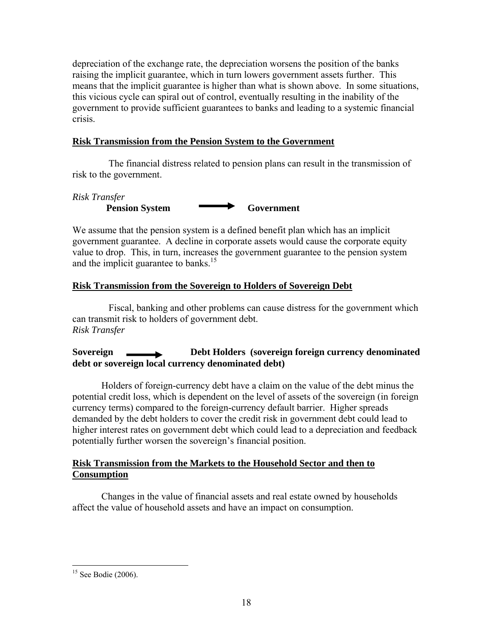depreciation of the exchange rate, the depreciation worsens the position of the banks raising the implicit guarantee, which in turn lowers government assets further. This means that the implicit guarantee is higher than what is shown above. In some situations, this vicious cycle can spiral out of control, eventually resulting in the inability of the government to provide sufficient guarantees to banks and leading to a systemic financial crisis.

## **Risk Transmission from the Pension System to the Government**

The financial distress related to pension plans can result in the transmission of risk to the government.

*Risk Transfer* 

**Pension System •• Government** 

We assume that the pension system is a defined benefit plan which has an implicit government guarantee. A decline in corporate assets would cause the corporate equity value to drop. This, in turn, increases the government guarantee to the pension system and the implicit guarantee to banks.<sup>15</sup>

# **Risk Transmission from the Sovereign to Holders of Sovereign Debt**

Fiscal, banking and other problems can cause distress for the government which can transmit risk to holders of government debt. *Risk Transfer* 

# **Sovereign Debt Holders (sovereign foreign currency denominated debt or sovereign local currency denominated debt)**

Holders of foreign-currency debt have a claim on the value of the debt minus the potential credit loss, which is dependent on the level of assets of the sovereign (in foreign currency terms) compared to the foreign-currency default barrier. Higher spreads demanded by the debt holders to cover the credit risk in government debt could lead to higher interest rates on government debt which could lead to a depreciation and feedback potentially further worsen the sovereign's financial position.

# **Risk Transmission from the Markets to the Household Sector and then to Consumption**

 Changes in the value of financial assets and real estate owned by households affect the value of household assets and have an impact on consumption.

 $\overline{a}$  $15$  See Bodie (2006).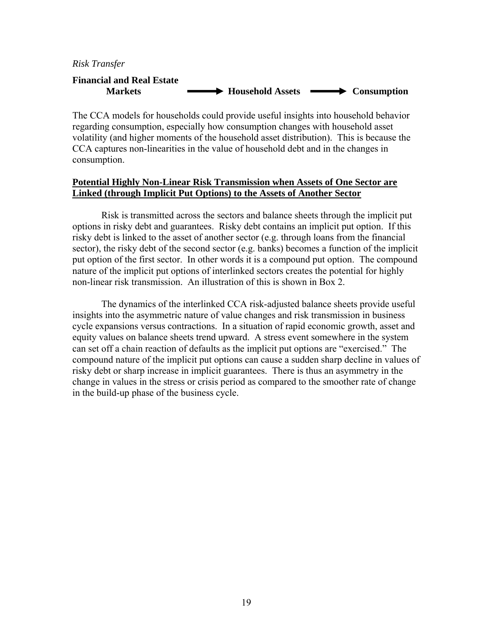# **Financial and Real Estate**  Markets **Household Assets** Consumption

The CCA models for households could provide useful insights into household behavior regarding consumption, especially how consumption changes with household asset volatility (and higher moments of the household asset distribution). This is because the CCA captures non-linearities in the value of household debt and in the changes in consumption.

## **Potential Highly Non-Linear Risk Transmission when Assets of One Sector are Linked (through Implicit Put Options) to the Assets of Another Sector**

Risk is transmitted across the sectors and balance sheets through the implicit put options in risky debt and guarantees. Risky debt contains an implicit put option. If this risky debt is linked to the asset of another sector (e.g. through loans from the financial sector), the risky debt of the second sector (e.g. banks) becomes a function of the implicit put option of the first sector. In other words it is a compound put option. The compound nature of the implicit put options of interlinked sectors creates the potential for highly non-linear risk transmission. An illustration of this is shown in Box 2.

 The dynamics of the interlinked CCA risk-adjusted balance sheets provide useful insights into the asymmetric nature of value changes and risk transmission in business cycle expansions versus contractions. In a situation of rapid economic growth, asset and equity values on balance sheets trend upward. A stress event somewhere in the system can set off a chain reaction of defaults as the implicit put options are "exercised." The compound nature of the implicit put options can cause a sudden sharp decline in values of risky debt or sharp increase in implicit guarantees. There is thus an asymmetry in the change in values in the stress or crisis period as compared to the smoother rate of change in the build-up phase of the business cycle.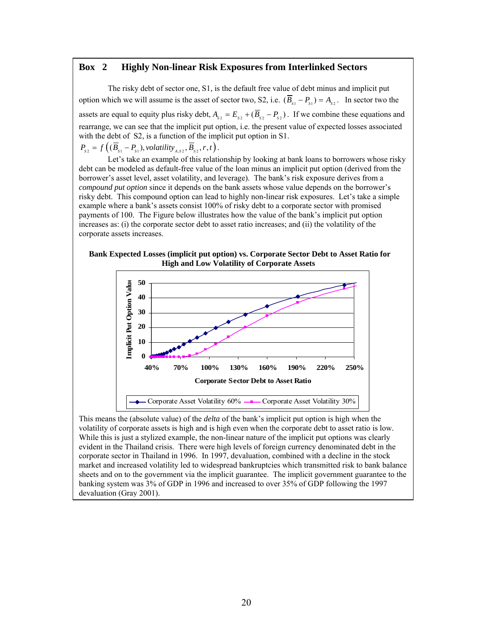#### **Box 2 Highly Non-linear Risk Exposures from Interlinked Sectors**

The risky debt of sector one, S1, is the default free value of debt minus and implicit put option which we will assume is the asset of sector two, S2, i.e.  $(\overline{B}_{s_1} - P_{s_1}) = A_{s_2}$ . In sector two the assets are equal to equity plus risky debt,  $A_{s2} = E_{s2} + (\overline{B}_{s2} - P_{s2})$ . If we combine these equations and rearrange, we can see that the implicit put option, i.e. the present value of expected losses associated with the debt of S2, is a function of the implicit put option in S1.

 $P_{s_2} = f\left((\overline{B}_{s_1} - P_{s_1}), \text{volatility}_{A,s_2}, \overline{B}_{s_2}, r, t\right).$ 

 Let's take an example of this relationship by looking at bank loans to borrowers whose risky debt can be modeled as default-free value of the loan minus an implicit put option (derived from the borrower's asset level, asset volatility, and leverage). The bank's risk exposure derives from a *compound put option* since it depends on the bank assets whose value depends on the borrower's risky debt. This compound option can lead to highly non-linear risk exposures. Let's take a simple example where a bank's assets consist 100% of risky debt to a corporate sector with promised payments of 100. The Figure below illustrates how the value of the bank's implicit put option increases as: (i) the corporate sector debt to asset ratio increases; and (ii) the volatility of the corporate assets increases.

#### **Bank Expected Losses (implicit put option) vs. Corporate Sector Debt to Asset Ratio for High and Low Volatility of Corporate Assets**



This means the (absolute value) of the *delta* of the bank's implicit put option is high when the volatility of corporate assets is high and is high even when the corporate debt to asset ratio is low. While this is just a stylized example, the non-linear nature of the implicit put options was clearly evident in the Thailand crisis. There were high levels of foreign currency denominated debt in the corporate sector in Thailand in 1996. In 1997, devaluation, combined with a decline in the stock market and increased volatility led to widespread bankruptcies which transmitted risk to bank balance sheets and on to the government via the implicit guarantee. The implicit government guarantee to the banking system was 3% of GDP in 1996 and increased to over 35% of GDP following the 1997 devaluation (Gray 2001).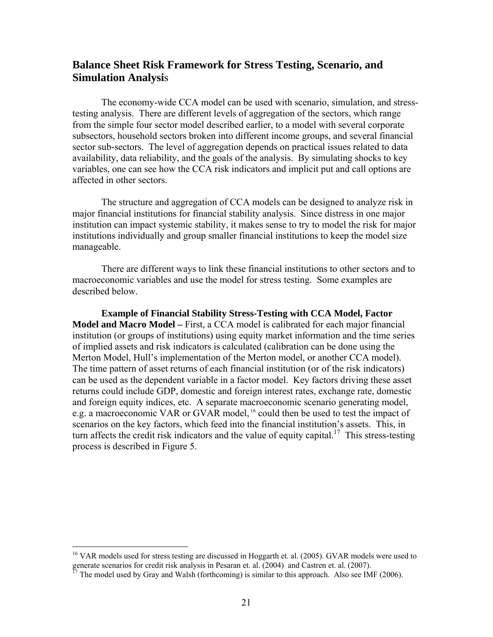# **Balance Sheet Risk Framework for Stress Testing, Scenario, and Simulation Analysi**s

The economy-wide CCA model can be used with scenario, simulation, and stresstesting analysis. There are different levels of aggregation of the sectors, which range from the simple four sector model described earlier, to a model with several corporate subsectors, household sectors broken into different income groups, and several financial sector sub-sectors. The level of aggregation depends on practical issues related to data availability, data reliability, and the goals of the analysis. By simulating shocks to key variables, one can see how the CCA risk indicators and implicit put and call options are affected in other sectors.

 The structure and aggregation of CCA models can be designed to analyze risk in major financial institutions for financial stability analysis. Since distress in one major institution can impact systemic stability, it makes sense to try to model the risk for major institutions individually and group smaller financial institutions to keep the model size manageable.

 There are different ways to link these financial institutions to other sectors and to macroeconomic variables and use the model for stress testing. Some examples are described below.

**Example of Financial Stability Stress-Testing with CCA Model, Factor Model and Macro Model –** First, a CCA model is calibrated for each major financial institution (or groups of institutions) using equity market information and the time series of implied assets and risk indicators is calculated (calibration can be done using the Merton Model, Hull's implementation of the Merton model, or another CCA model). The time pattern of asset returns of each financial institution (or of the risk indicators) can be used as the dependent variable in a factor model. Key factors driving these asset returns could include GDP, domestic and foreign interest rates, exchange rate, domestic and foreign equity indices, etc. A separate macroeconomic scenario generating model, e.g. a macroeconomic VAR or GVAR model, 16 could then be used to test the impact of scenarios on the key factors, which feed into the financial institution's assets. This, in turn affects the credit risk indicators and the value of equity capital.<sup>17</sup> This stress-testing process is described in Figure 5.

1

<sup>&</sup>lt;sup>16</sup> VAR models used for stress testing are discussed in Hoggarth et. al. (2005). GVAR models were used to generate scenarios for credit risk analysis in Pesaran et. al. (2004) and Castren et. al. (2007).

 $^{17}$  The model used by Gray and Walsh (forthcoming) is similar to this approach. Also see IMF (2006).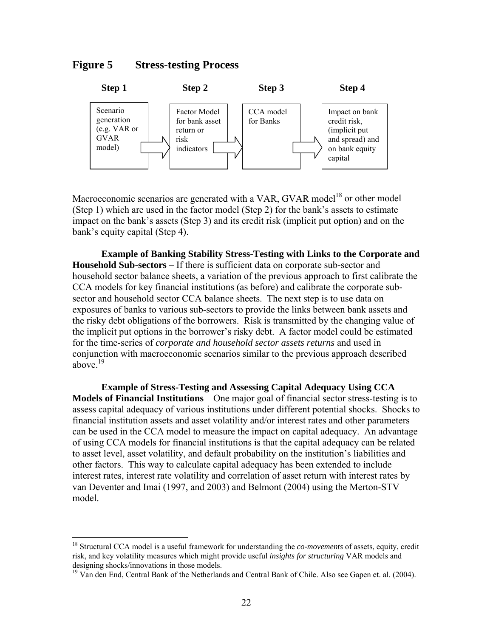#### **Figure 5 Stress-testing Process**



Macroeconomic scenarios are generated with a VAR, GVAR model<sup>18</sup> or other model (Step 1) which are used in the factor model (Step 2) for the bank's assets to estimate impact on the bank's assets (Step 3) and its credit risk (implicit put option) and on the bank's equity capital (Step 4).

**Example of Banking Stability Stress-Testing with Links to the Corporate and Household Sub-sectors** – If there is sufficient data on corporate sub-sector and household sector balance sheets, a variation of the previous approach to first calibrate the CCA models for key financial institutions (as before) and calibrate the corporate subsector and household sector CCA balance sheets. The next step is to use data on exposures of banks to various sub-sectors to provide the links between bank assets and the risky debt obligations of the borrowers. Risk is transmitted by the changing value of the implicit put options in the borrower's risky debt. A factor model could be estimated for the time-series of *corporate and household sector assets returns* and used in conjunction with macroeconomic scenarios similar to the previous approach described above  $19$ 

**Example of Stress-Testing and Assessing Capital Adequacy Using CCA Models of Financial Institutions** – One major goal of financial sector stress-testing is to assess capital adequacy of various institutions under different potential shocks. Shocks to financial institution assets and asset volatility and/or interest rates and other parameters can be used in the CCA model to measure the impact on capital adequacy. An advantage of using CCA models for financial institutions is that the capital adequacy can be related to asset level, asset volatility, and default probability on the institution's liabilities and other factors. This way to calculate capital adequacy has been extended to include interest rates, interest rate volatility and correlation of asset return with interest rates by van Deventer and Imai (1997, and 2003) and Belmont (2004) using the Merton-STV model.

<u>.</u>

<sup>18</sup> Structural CCA model is a useful framework for understanding the *co-movements* of assets, equity, credit risk, and key volatility measures which might provide useful *insights for structuring* VAR models and designing shocks/innovations in those models.

<sup>&</sup>lt;sup>19</sup> Van den End, Central Bank of the Netherlands and Central Bank of Chile. Also see Gapen et. al. (2004).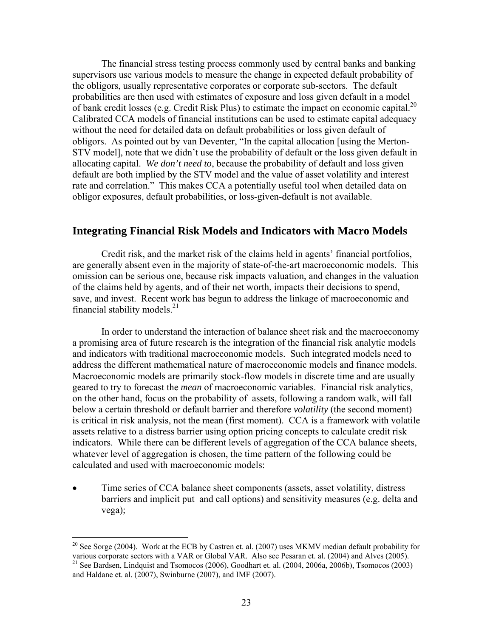The financial stress testing process commonly used by central banks and banking supervisors use various models to measure the change in expected default probability of the obligors, usually representative corporates or corporate sub-sectors. The default probabilities are then used with estimates of exposure and loss given default in a model of bank credit losses (e.g. Credit Risk Plus) to estimate the impact on economic capital.<sup>20</sup> Calibrated CCA models of financial institutions can be used to estimate capital adequacy without the need for detailed data on default probabilities or loss given default of obligors. As pointed out by van Deventer, "In the capital allocation [using the Merton-STV model], note that we didn't use the probability of default or the loss given default in allocating capital. *We don't need to*, because the probability of default and loss given default are both implied by the STV model and the value of asset volatility and interest rate and correlation." This makes CCA a potentially useful tool when detailed data on obligor exposures, default probabilities, or loss-given-default is not available.

## **Integrating Financial Risk Models and Indicators with Macro Models**

 Credit risk, and the market risk of the claims held in agents' financial portfolios, are generally absent even in the majority of state-of-the-art macroeconomic models. This omission can be serious one, because risk impacts valuation, and changes in the valuation of the claims held by agents, and of their net worth, impacts their decisions to spend, save, and invest. Recent work has begun to address the linkage of macroeconomic and financial stability models. $21$ 

 In order to understand the interaction of balance sheet risk and the macroeconomy a promising area of future research is the integration of the financial risk analytic models and indicators with traditional macroeconomic models. Such integrated models need to address the different mathematical nature of macroeconomic models and finance models. Macroeconomic models are primarily stock-flow models in discrete time and are usually geared to try to forecast the *mean* of macroeconomic variables. Financial risk analytics, on the other hand, focus on the probability of assets, following a random walk, will fall below a certain threshold or default barrier and therefore *volatility* (the second moment) is critical in risk analysis, not the mean (first moment). CCA is a framework with volatile assets relative to a distress barrier using option pricing concepts to calculate credit risk indicators. While there can be different levels of aggregation of the CCA balance sheets, whatever level of aggregation is chosen, the time pattern of the following could be calculated and used with macroeconomic models:

• Time series of CCA balance sheet components (assets, asset volatility, distress barriers and implicit put and call options) and sensitivity measures (e.g. delta and vega);

<u>.</u>

<sup>&</sup>lt;sup>20</sup> See Sorge (2004). Work at the ECB by Castren et. al. (2007) uses MKMV median default probability for various corporate sectors with a VAR or Global VAR. Also see Pesaran et. al. (2004) and Alves (2005). <sup>21</sup> See Bardsen, Lindquist and Tsomocos (2006), Goodhart et. al. (2004, 2006a, 2006b), Tsomocos (2003) and Haldane et. al. (2007), Swinburne (2007), and IMF (2007).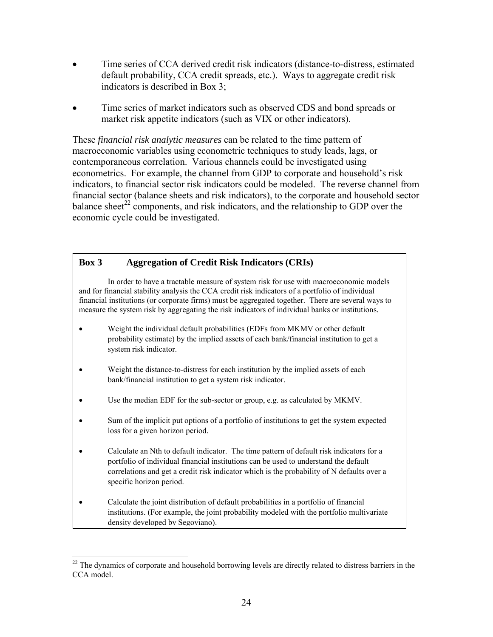- Time series of CCA derived credit risk indicators (distance-to-distress, estimated default probability, CCA credit spreads, etc.). Ways to aggregate credit risk indicators is described in Box 3;
- Time series of market indicators such as observed CDS and bond spreads or market risk appetite indicators (such as VIX or other indicators).

These *financial risk analytic measures* can be related to the time pattern of macroeconomic variables using econometric techniques to study leads, lags, or contemporaneous correlation. Various channels could be investigated using econometrics. For example, the channel from GDP to corporate and household's risk indicators, to financial sector risk indicators could be modeled. The reverse channel from financial sector (balance sheets and risk indicators), to the corporate and household sector balance sheet<sup>22</sup> components, and risk indicators, and the relationship to GDP over the economic cycle could be investigated.

## **Box 3 Aggregation of Credit Risk Indicators (CRIs)**

 In order to have a tractable measure of system risk for use with macroeconomic models and for financial stability analysis the CCA credit risk indicators of a portfolio of individual financial institutions (or corporate firms) must be aggregated together. There are several ways to measure the system risk by aggregating the risk indicators of individual banks or institutions.

- Weight the individual default probabilities (EDFs from MKMV or other default probability estimate) by the implied assets of each bank/financial institution to get a system risk indicator.
- Weight the distance-to-distress for each institution by the implied assets of each bank/financial institution to get a system risk indicator.
- Use the median EDF for the sub-sector or group, e.g. as calculated by MKMV.
- Sum of the implicit put options of a portfolio of institutions to get the system expected loss for a given horizon period.
- Calculate an Nth to default indicator. The time pattern of default risk indicators for a portfolio of individual financial institutions can be used to understand the default correlations and get a credit risk indicator which is the probability of N defaults over a specific horizon period.
- Calculate the joint distribution of default probabilities in a portfolio of financial institutions. (For example, the joint probability modeled with the portfolio multivariate density developed by Segoviano).

 $\overline{a}$ 

<sup>&</sup>lt;sup>22</sup> The dynamics of corporate and household borrowing levels are directly related to distress barriers in the CCA model.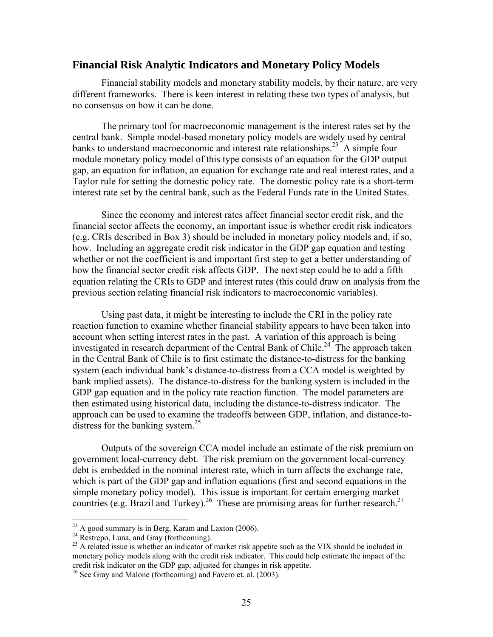# **Financial Risk Analytic Indicators and Monetary Policy Models**

 Financial stability models and monetary stability models, by their nature, are very different frameworks. There is keen interest in relating these two types of analysis, but no consensus on how it can be done.

 The primary tool for macroeconomic management is the interest rates set by the central bank. Simple model-based monetary policy models are widely used by central banks to understand macroeconomic and interest rate relationships.<sup>23</sup> A simple four module monetary policy model of this type consists of an equation for the GDP output gap, an equation for inflation, an equation for exchange rate and real interest rates, and a Taylor rule for setting the domestic policy rate. The domestic policy rate is a short-term interest rate set by the central bank, such as the Federal Funds rate in the United States.

 Since the economy and interest rates affect financial sector credit risk, and the financial sector affects the economy, an important issue is whether credit risk indicators (e.g. CRIs described in Box 3) should be included in monetary policy models and, if so, how. Including an aggregate credit risk indicator in the GDP gap equation and testing whether or not the coefficient is and important first step to get a better understanding of how the financial sector credit risk affects GDP. The next step could be to add a fifth equation relating the CRIs to GDP and interest rates (this could draw on analysis from the previous section relating financial risk indicators to macroeconomic variables).

 Using past data, it might be interesting to include the CRI in the policy rate reaction function to examine whether financial stability appears to have been taken into account when setting interest rates in the past. A variation of this approach is being investigated in research department of the Central Bank of Chile.<sup>24</sup> The approach taken in the Central Bank of Chile is to first estimate the distance-to-distress for the banking system (each individual bank's distance-to-distress from a CCA model is weighted by bank implied assets). The distance-to-distress for the banking system is included in the GDP gap equation and in the policy rate reaction function. The model parameters are then estimated using historical data, including the distance-to-distress indicator. The approach can be used to examine the tradeoffs between GDP, inflation, and distance-todistress for the banking system.<sup>25</sup>

 Outputs of the sovereign CCA model include an estimate of the risk premium on government local-currency debt. The risk premium on the government local-currency debt is embedded in the nominal interest rate, which in turn affects the exchange rate, which is part of the GDP gap and inflation equations (first and second equations in the simple monetary policy model). This issue is important for certain emerging market countries (e.g. Brazil and Turkey).<sup>26</sup> These are promising areas for further research.<sup>27</sup>

1

 $^{23}$  A good summary is in Berg, Karam and Laxton (2006).

<sup>&</sup>lt;sup>24</sup> Restrepo, Luna, and Gray (forthcoming).

<sup>&</sup>lt;sup>25</sup> A related issue is whether an indicator of market risk appetite such as the VIX should be included in monetary policy models along with the credit risk indicator. This could help estimate the impact of the credit risk indicator on the GDP gap, adjusted for changes in risk appetite.

 $^{26}$  See Gray and Malone (forthcoming) and Favero et. al. (2003).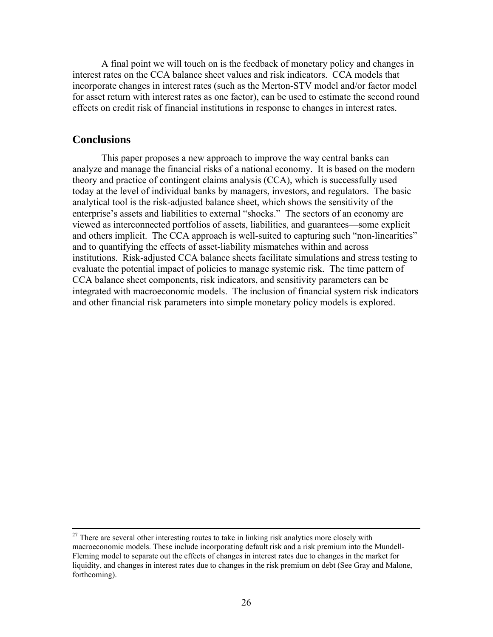A final point we will touch on is the feedback of monetary policy and changes in interest rates on the CCA balance sheet values and risk indicators. CCA models that incorporate changes in interest rates (such as the Merton-STV model and/or factor model for asset return with interest rates as one factor), can be used to estimate the second round effects on credit risk of financial institutions in response to changes in interest rates.

#### **Conclusions**

 This paper proposes a new approach to improve the way central banks can analyze and manage the financial risks of a national economy. It is based on the modern theory and practice of contingent claims analysis (CCA), which is successfully used today at the level of individual banks by managers, investors, and regulators. The basic analytical tool is the risk-adjusted balance sheet, which shows the sensitivity of the enterprise's assets and liabilities to external "shocks." The sectors of an economy are viewed as interconnected portfolios of assets, liabilities, and guarantees—some explicit and others implicit. The CCA approach is well-suited to capturing such "non-linearities" and to quantifying the effects of asset-liability mismatches within and across institutions. Risk-adjusted CCA balance sheets facilitate simulations and stress testing to evaluate the potential impact of policies to manage systemic risk. The time pattern of CCA balance sheet components, risk indicators, and sensitivity parameters can be integrated with macroeconomic models. The inclusion of financial system risk indicators and other financial risk parameters into simple monetary policy models is explored.

<sup>&</sup>lt;sup>27</sup> There are several other interesting routes to take in linking risk analytics more closely with macroeconomic models. These include incorporating default risk and a risk premium into the Mundell-Fleming model to separate out the effects of changes in interest rates due to changes in the market for liquidity, and changes in interest rates due to changes in the risk premium on debt (See Gray and Malone, forthcoming).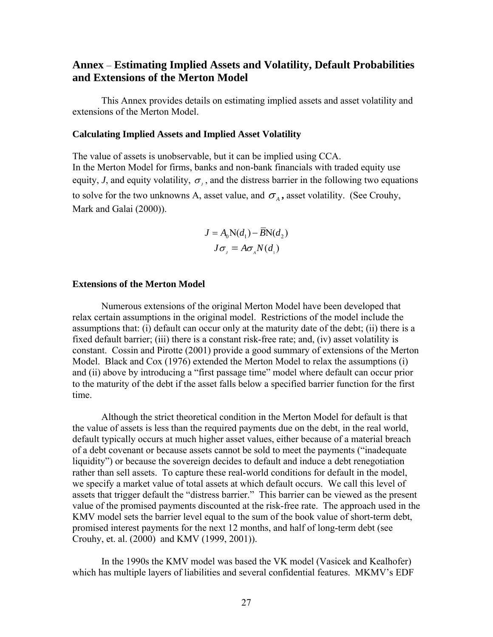# **Annex** – **Estimating Implied Assets and Volatility, Default Probabilities and Extensions of the Merton Model**

 This Annex provides details on estimating implied assets and asset volatility and extensions of the Merton Model.

#### **Calculating Implied Assets and Implied Asset Volatility**

The value of assets is unobservable, but it can be implied using CCA. In the Merton Model for firms, banks and non-bank financials with traded equity use equity, *J*, and equity volatility,  $\sigma_{\perp}$ , and the distress barrier in the following two equations to solve for the two unknowns A, asset value, and  $\sigma_A$ , asset volatility. (See Crouhy, Mark and Galai (2000)).

$$
J = A_0 \mathbf{N}(d_1) - \overline{B} \mathbf{N}(d_2)
$$

$$
J\sigma_j = A\sigma_A \mathbf{N}(d_1)
$$

#### **Extensions of the Merton Model**

 Numerous extensions of the original Merton Model have been developed that relax certain assumptions in the original model. Restrictions of the model include the assumptions that: (i) default can occur only at the maturity date of the debt; (ii) there is a fixed default barrier; (iii) there is a constant risk-free rate; and, (iv) asset volatility is constant. Cossin and Pirotte (2001) provide a good summary of extensions of the Merton Model. Black and Cox (1976) extended the Merton Model to relax the assumptions (i) and (ii) above by introducing a "first passage time" model where default can occur prior to the maturity of the debt if the asset falls below a specified barrier function for the first time.

 Although the strict theoretical condition in the Merton Model for default is that the value of assets is less than the required payments due on the debt, in the real world, default typically occurs at much higher asset values, either because of a material breach of a debt covenant or because assets cannot be sold to meet the payments ("inadequate liquidity") or because the sovereign decides to default and induce a debt renegotiation rather than sell assets. To capture these real-world conditions for default in the model, we specify a market value of total assets at which default occurs. We call this level of assets that trigger default the "distress barrier." This barrier can be viewed as the present value of the promised payments discounted at the risk-free rate. The approach used in the KMV model sets the barrier level equal to the sum of the book value of short-term debt, promised interest payments for the next 12 months, and half of long-term debt (see Crouhy, et. al. (2000) and KMV (1999, 2001)).

 In the 1990s the KMV model was based the VK model (Vasicek and Kealhofer) which has multiple layers of liabilities and several confidential features. MKMV's EDF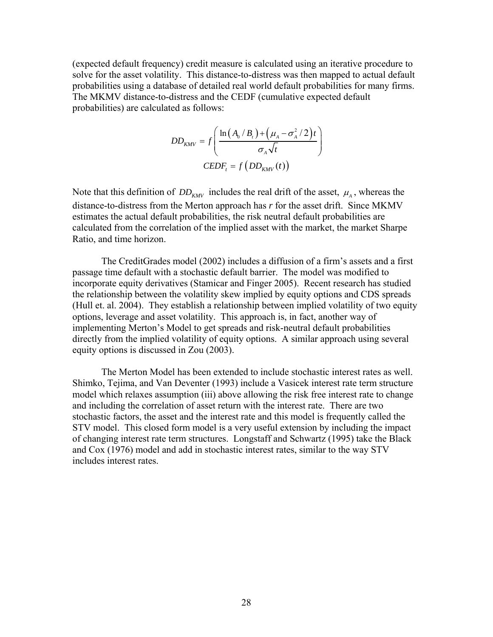(expected default frequency) credit measure is calculated using an iterative procedure to solve for the asset volatility. This distance-to-distress was then mapped to actual default probabilities using a database of detailed real world default probabilities for many firms. The MKMV distance-to-distress and the CEDF (cumulative expected default probabilities) are calculated as follows:

$$
DD_{KMV} = f\left(\frac{\ln\left(A_0/B_t\right) + \left(\mu_A - \sigma_A^2/2\right)t}{\sigma_A\sqrt{t}}\right)
$$

$$
CEDF_t = f\left(DD_{KMV}(t)\right)
$$

Note that this definition of  $DD_{kMV}$  includes the real drift of the asset,  $\mu_A$ , whereas the distance-to-distress from the Merton approach has *r* for the asset drift. Since MKMV estimates the actual default probabilities, the risk neutral default probabilities are calculated from the correlation of the implied asset with the market, the market Sharpe Ratio, and time horizon.

 The CreditGrades model (2002) includes a diffusion of a firm's assets and a first passage time default with a stochastic default barrier. The model was modified to incorporate equity derivatives (Stamicar and Finger 2005). Recent research has studied the relationship between the volatility skew implied by equity options and CDS spreads (Hull et. al. 2004). They establish a relationship between implied volatility of two equity options, leverage and asset volatility. This approach is, in fact, another way of implementing Merton's Model to get spreads and risk-neutral default probabilities directly from the implied volatility of equity options. A similar approach using several equity options is discussed in Zou (2003).

 The Merton Model has been extended to include stochastic interest rates as well. Shimko, Tejima, and Van Deventer (1993) include a Vasicek interest rate term structure model which relaxes assumption (iii) above allowing the risk free interest rate to change and including the correlation of asset return with the interest rate. There are two stochastic factors, the asset and the interest rate and this model is frequently called the STV model. This closed form model is a very useful extension by including the impact of changing interest rate term structures. Longstaff and Schwartz (1995) take the Black and Cox (1976) model and add in stochastic interest rates, similar to the way STV includes interest rates.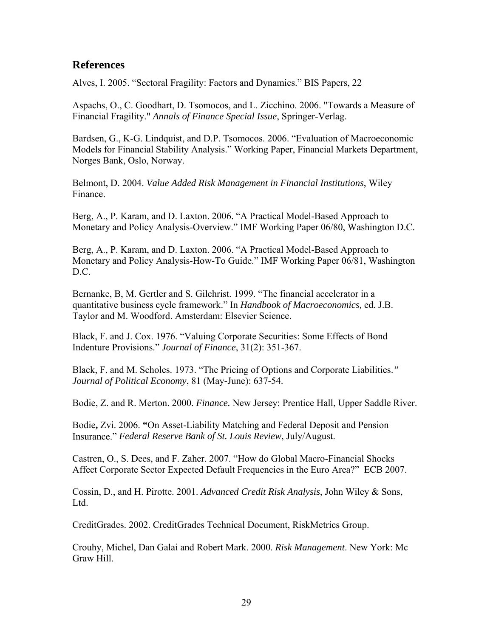## **References**

Alves, I. 2005. "Sectoral Fragility: Factors and Dynamics." BIS Papers, 22

Aspachs, O., C. Goodhart, D. Tsomocos, and L. Zicchino. 2006. "Towards a Measure of Financial Fragility." *Annals of Finance Special Issue*, Springer-Verlag.

Bardsen, G., K-G. Lindquist, and D.P. Tsomocos. 2006. "Evaluation of Macroeconomic Models for Financial Stability Analysis." Working Paper, Financial Markets Department, Norges Bank, Oslo, Norway.

Belmont, D. 2004. *Value Added Risk Management in Financial Institutions*, Wiley Finance.

Berg, A., P. Karam, and D. Laxton. 2006. "A Practical Model-Based Approach to Monetary and Policy Analysis-Overview." IMF Working Paper 06/80, Washington D.C.

Berg, A., P. Karam, and D. Laxton. 2006. "A Practical Model-Based Approach to Monetary and Policy Analysis-How-To Guide." IMF Working Paper 06/81, Washington D.C.

Bernanke, B, M. Gertler and S. Gilchrist. 1999. "The financial accelerator in a quantitative business cycle framework." In *Handbook of Macroeconomics,* ed. J.B. Taylor and M. Woodford. Amsterdam: Elsevier Science.

Black, F. and J. Cox. 1976. "Valuing Corporate Securities: Some Effects of Bond Indenture Provisions." *Journal of Finance*, 31(2): 351-367.

Black, F. and M. Scholes. 1973. "The Pricing of Options and Corporate Liabilities.*" Journal of Political Economy*, 81 (May-June): 637-54.

Bodie, Z. and R. Merton. 2000. *Finance.* New Jersey: Prentice Hall, Upper Saddle River.

Bodie**,** Zvi. 2006. **"**On Asset-Liability Matching and Federal Deposit and Pension Insurance." *Federal Reserve Bank of St. Louis Review*, July/August.

Castren, O., S. Dees, and F. Zaher. 2007. "How do Global Macro-Financial Shocks Affect Corporate Sector Expected Default Frequencies in the Euro Area?" ECB 2007.

Cossin, D., and H. Pirotte. 2001. *Advanced Credit Risk Analysis*, John Wiley & Sons, Ltd.

CreditGrades. 2002. CreditGrades Technical Document, RiskMetrics Group.

Crouhy, Michel, Dan Galai and Robert Mark. 2000. *Risk Management*. New York: Mc Graw Hill.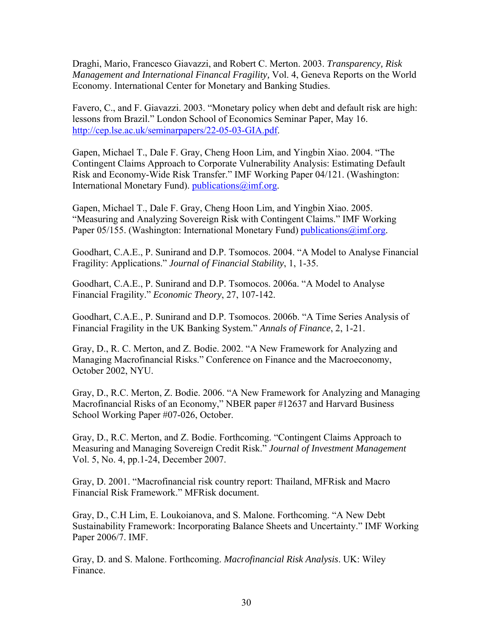Draghi, Mario, Francesco Giavazzi, and Robert C. Merton. 2003. *Transparency, Risk Management and International Financal Fragility,* Vol. 4, Geneva Reports on the World Economy. International Center for Monetary and Banking Studies.

Favero, C., and F. Giavazzi. 2003. "Monetary policy when debt and default risk are high: lessons from Brazil." London School of Economics Seminar Paper, May 16. http://cep.lse.ac.uk/seminarpapers/22-05-03-GIA.pdf.

Gapen, Michael T., Dale F. Gray, Cheng Hoon Lim, and Yingbin Xiao. 2004. "The Contingent Claims Approach to Corporate Vulnerability Analysis: Estimating Default Risk and Economy-Wide Risk Transfer." IMF Working Paper 04/121. (Washington: International Monetary Fund). publications@imf.org.

Gapen, Michael T., Dale F. Gray, Cheng Hoon Lim, and Yingbin Xiao. 2005. "Measuring and Analyzing Sovereign Risk with Contingent Claims." IMF Working Paper 05/155. (Washington: International Monetary Fund) publications@imf.org.

Goodhart, C.A.E., P. Sunirand and D.P. Tsomocos. 2004. "A Model to Analyse Financial Fragility: Applications." *Journal of Financial Stability*, 1, 1-35.

Goodhart, C.A.E., P. Sunirand and D.P. Tsomocos. 2006a. "A Model to Analyse Financial Fragility." *Economic Theory*, 27, 107-142.

Goodhart, C.A.E., P. Sunirand and D.P. Tsomocos. 2006b. "A Time Series Analysis of Financial Fragility in the UK Banking System." *Annals of Finance*, 2, 1-21.

Gray, D., R. C. Merton, and Z. Bodie. 2002. "A New Framework for Analyzing and Managing Macrofinancial Risks." Conference on Finance and the Macroeconomy, October 2002, NYU.

Gray, D., R.C. Merton, Z. Bodie. 2006. "A New Framework for Analyzing and Managing Macrofinancial Risks of an Economy," NBER paper #12637 and Harvard Business School Working Paper #07-026, October.

Gray, D., R.C. Merton, and Z. Bodie. Forthcoming. "Contingent Claims Approach to Measuring and Managing Sovereign Credit Risk." *Journal of Investment Management* Vol. 5, No. 4, pp.1-24, December 2007.

Gray, D. 2001. "Macrofinancial risk country report: Thailand, MFRisk and Macro Financial Risk Framework." MFRisk document.

Gray, D., C.H Lim, E. Loukoianova, and S. Malone. Forthcoming. "A New Debt Sustainability Framework: Incorporating Balance Sheets and Uncertainty." IMF Working Paper 2006/7. IMF.

Gray, D. and S. Malone. Forthcoming. *Macrofinancial Risk Analysis*. UK: Wiley Finance.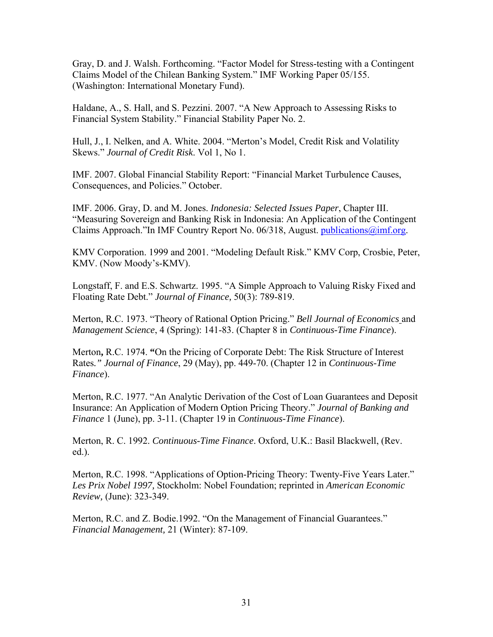Gray, D. and J. Walsh. Forthcoming. "Factor Model for Stress-testing with a Contingent Claims Model of the Chilean Banking System." IMF Working Paper 05/155. (Washington: International Monetary Fund).

Haldane, A., S. Hall, and S. Pezzini. 2007. "A New Approach to Assessing Risks to Financial System Stability." Financial Stability Paper No. 2.

Hull, J., I. Nelken, and A. White. 2004. "Merton's Model, Credit Risk and Volatility Skews." *Journal of Credit Risk*. Vol 1, No 1.

IMF. 2007. Global Financial Stability Report: "Financial Market Turbulence Causes, Consequences, and Policies." October.

IMF. 2006. Gray, D. and M. Jones. *Indonesia: Selected Issues Paper*, Chapter III. "Measuring Sovereign and Banking Risk in Indonesia: An Application of the Contingent Claims Approach."In IMF Country Report No. 06/318, August. *publications@imf.org.* 

KMV Corporation. 1999 and 2001. "Modeling Default Risk." KMV Corp, Crosbie, Peter, KMV. (Now Moody's-KMV).

Longstaff, F. and E.S. Schwartz. 1995. "A Simple Approach to Valuing Risky Fixed and Floating Rate Debt." *Journal of Finance,* 50(3): 789-819.

Merton, R.C. 1973. "Theory of Rational Option Pricing." *Bell Journal of Economics* and *Management Science*, 4 (Spring): 141-83. (Chapter 8 in *Continuous-Time Finance*).

Merton**,** R.C. 1974. **"**On the Pricing of Corporate Debt: The Risk Structure of Interest Rates*." Journal of Finance*, 29 (May), pp. 449-70. (Chapter 12 in *Continuous-Time Finance*).

Merton, R.C. 1977. "An Analytic Derivation of the Cost of Loan Guarantees and Deposit Insurance: An Application of Modern Option Pricing Theory." *Journal of Banking and Finance* 1 (June), pp. 3-11. (Chapter 19 in *Continuous-Time Finance*).

Merton, R. C. 1992. *Continuous-Time Finance*. Oxford, U.K.: Basil Blackwell, (Rev. ed.).

Merton, R.C. 1998. "Applications of Option-Pricing Theory: Twenty-Five Years Later." *Les Prix Nobel 1997,* Stockholm: Nobel Foundation; reprinted in *American Economic Review,* (June): 323-349.

Merton, R.C. and Z. Bodie.1992. "On the Management of Financial Guarantees." *Financial Management,* 21 (Winter): 87-109.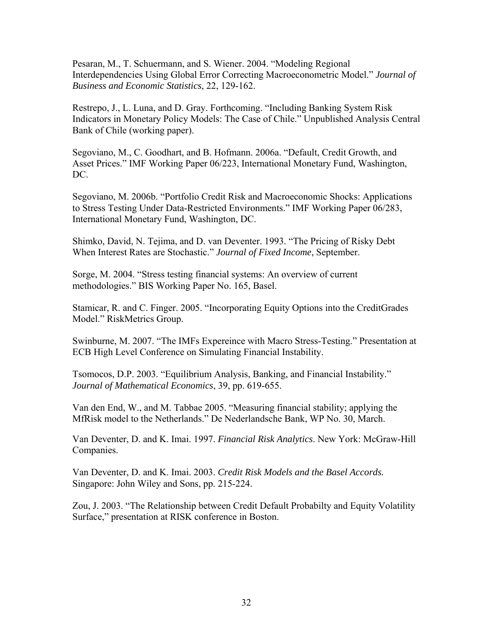Pesaran, M., T. Schuermann, and S. Wiener. 2004. "Modeling Regional Interdependencies Using Global Error Correcting Macroeconometric Model." *Journal of Business and Economic Statistics*, 22, 129-162.

Restrepo, J., L. Luna, and D. Gray. Forthcoming. "Including Banking System Risk Indicators in Monetary Policy Models: The Case of Chile." Unpublished Analysis Central Bank of Chile (working paper).

Segoviano, M., C. Goodhart, and B. Hofmann. 2006a. "Default, Credit Growth, and Asset Prices." IMF Working Paper 06/223, International Monetary Fund, Washington, DC.

Segoviano, M. 2006b. "Portfolio Credit Risk and Macroeconomic Shocks: Applications to Stress Testing Under Data-Restricted Environments." IMF Working Paper 06/283, International Monetary Fund, Washington, DC.

Shimko, David, N. Tejima, and D. van Deventer. 1993. "The Pricing of Risky Debt When Interest Rates are Stochastic." *Journal of Fixed Income*, September.

Sorge, M. 2004. "Stress testing financial systems: An overview of current methodologies." BIS Working Paper No. 165, Basel.

Stamicar, R. and C. Finger. 2005. "Incorporating Equity Options into the CreditGrades Model." RiskMetrics Group.

Swinburne, M. 2007. "The IMFs Expereince with Macro Stress-Testing." Presentation at ECB High Level Conference on Simulating Financial Instability.

Tsomocos, D.P. 2003. "Equilibrium Analysis, Banking, and Financial Instability." *Journal of Mathematical Economics*, 39, pp. 619-655.

Van den End, W., and M. Tabbae 2005. "Measuring financial stability; applying the MfRisk model to the Netherlands." De Nederlandsche Bank, WP No. 30, March.

Van Deventer, D. and K. Imai. 1997. *Financial Risk Analytics*. New York: McGraw-Hill Companies.

Van Deventer, D. and K. Imai. 2003. *Credit Risk Models and the Basel Accords.* Singapore: John Wiley and Sons, pp. 215-224.

Zou, J. 2003. "The Relationship between Credit Default Probabilty and Equity Volatility Surface," presentation at RISK conference in Boston.